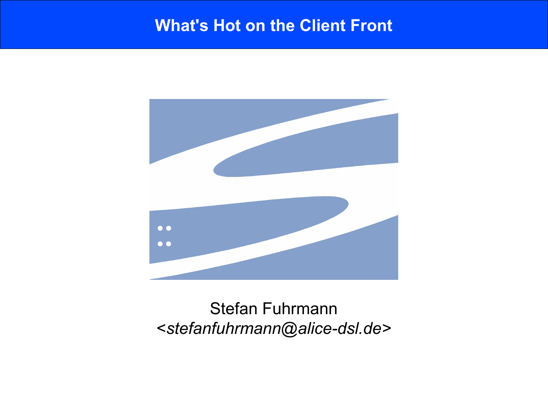#### **What's Hot on the Client Front**



### Stefan Fuhrmann <*stefanfuhrmann@alice-dsl.de>*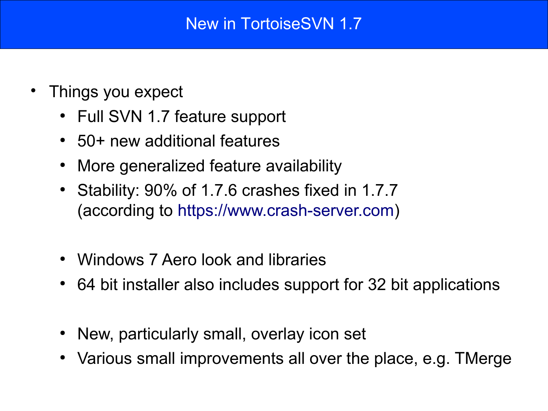### New in TortoiseSVN 1.7

- Things you expect
	- Full SVN 1.7 feature support
	- 50+ new additional features
	- More generalized feature availability
	- Stability: 90% of 1.7.6 crashes fixed in 1.7.7 (according to [https://www.crash-server.com\)](https://www.crash-server.com/AppVersion.aspx?ClientID=tsvn&AppVersionID=4)
	- Windows 7 Aero look and libraries
	- 64 bit installer also includes support for 32 bit applications
	- New, particularly small, overlay icon set
	- Various small improvements all over the place, e.g. TMerge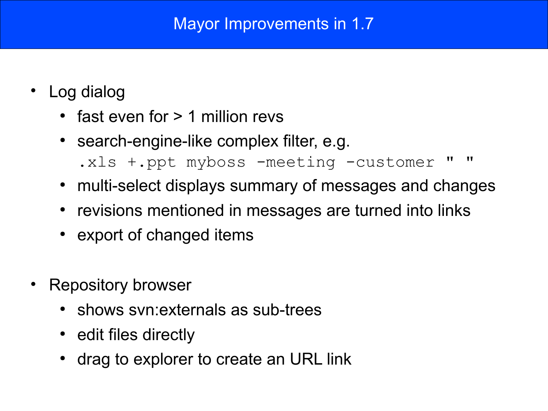### Mayor Improvements in 1.7

- Log dialog
	- $\cdot$  fast even for  $> 1$  million revs
	- search-engine-like complex filter, e.g. .xls +.ppt myboss -meeting -customer " "
	- multi-select displays summary of messages and changes
	- revisions mentioned in messages are turned into links
	- export of changed items
- Repository browser
	- shows syn: externals as sub-trees
	- edit files directly
	- drag to explorer to create an URL link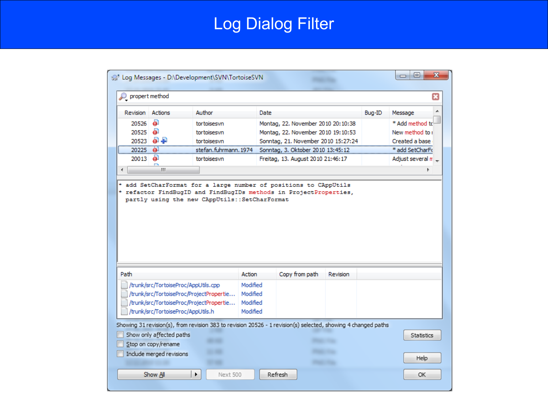# Log Dialog Filter

| propert method           |                                      |                                          |                      |                                                                                                               |        |                                    |
|--------------------------|--------------------------------------|------------------------------------------|----------------------|---------------------------------------------------------------------------------------------------------------|--------|------------------------------------|
| Revision                 | Actions                              | Author                                   | Date                 |                                                                                                               | Bug-ID | Message                            |
| ō                        |                                      |                                          |                      |                                                                                                               |        |                                    |
| 20526<br>a<br>20525      |                                      | tortoisesvn                              |                      | Montag, 22. November 2010 20:10:38                                                                            |        | * Add method to<br>New method to i |
| 20523                    | 8 P                                  | tortoisesvn<br>tortoisesvn               |                      | Montag, 22. November 2010 19:10:53<br>Sonntag, 21. November 2010 15:27:24                                     |        | Created a base                     |
| 20225<br>۵I              |                                      | stefan.fuhrmann. 1974                    |                      | Sonntag, 3. Oktober 2010 13:45:12                                                                             |        | * add SetCharFo                    |
| $\bullet$<br>20013       |                                      | tortoisesvn                              |                      | Freitag, 13. August 2010 21:46:17                                                                             |        | Adjust several m _                 |
|                          |                                      |                                          |                      |                                                                                                               |        |                                    |
| ∢                        | ш.                                   |                                          |                      |                                                                                                               |        |                                    |
|                          |                                      |                                          |                      | partly using the new CAppUtils::SetCharFormat                                                                 |        |                                    |
|                          |                                      |                                          |                      |                                                                                                               |        |                                    |
|                          |                                      |                                          | Action               | Copy from path<br>Revision                                                                                    |        |                                    |
|                          | /trunk/src/TortoiseProc/AppUtils.cpp |                                          | Modified             |                                                                                                               |        |                                    |
|                          |                                      | /trunk/src/TortoiseProc/ProjectPropertie | Modified             |                                                                                                               |        |                                    |
| Path                     |                                      |                                          |                      |                                                                                                               |        |                                    |
| Show only affected paths | /trunk/src/TortoiseProc/AppUtils.h   | /trunk/src/TortoiseProc/ProjectPropertie | Modified<br>Modified | Showing 31 revision(s), from revision 383 to revision 20526 - 1 revision(s) selected, showing 4 changed paths |        |                                    |
| Stop on copy/rename      |                                      |                                          |                      |                                                                                                               |        | Statistics                         |
| Include merged revisions |                                      |                                          |                      |                                                                                                               |        | Help                               |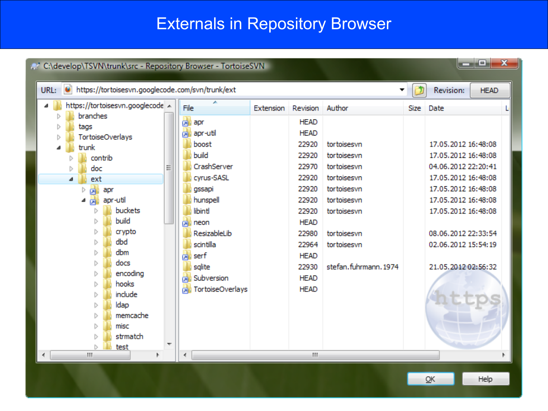## Externals in Repository Browser

| $\mathbf{x}$<br>o.<br>A C:\develop\TSVN\trunk\src - Repository Browser - TortoiseSVN                                                                                                                                                                                                       |   |                                                                                                                                                                                                                                                          |           |                                                                                                                                                                                              |                                                                                                                                                                       |             |                                                                                                                                                                                                                                            |  |
|--------------------------------------------------------------------------------------------------------------------------------------------------------------------------------------------------------------------------------------------------------------------------------------------|---|----------------------------------------------------------------------------------------------------------------------------------------------------------------------------------------------------------------------------------------------------------|-----------|----------------------------------------------------------------------------------------------------------------------------------------------------------------------------------------------|-----------------------------------------------------------------------------------------------------------------------------------------------------------------------|-------------|--------------------------------------------------------------------------------------------------------------------------------------------------------------------------------------------------------------------------------------------|--|
| URL: 0<br>https://tortoisesvn.googlecode.com/svn/trunk/ext                                                                                                                                                                                                                                 |   |                                                                                                                                                                                                                                                          |           |                                                                                                                                                                                              |                                                                                                                                                                       |             | <b>Revision:</b><br><b>HEAD</b>                                                                                                                                                                                                            |  |
| https://tortoisesvn.googlecode __<br>branches<br>tags<br>D<br><b>TortoiseOverlays</b><br>Þ<br>trunk<br>contrib<br>doc<br>ext<br>⊿<br>売<br>apr<br>apr-util<br>buckets<br>build<br>crypto<br>dbd<br>dbm<br>ь<br>docs<br>encoding<br>ß<br>hooks<br>include<br>D<br>ldap<br>D<br>memcache<br>D | Ξ | File<br><b>Bu</b> apr<br><b>Dollapr-util</b><br>boost<br>build<br>CrashServer<br>cyrus-SASL<br>gssapi<br>hunspell<br>libint<br><b>b</b> neon<br>ResizableLib<br>scintilla<br><b>A</b> serf<br>sglite<br><b>A</b> Subversion<br><b>A</b> TortoiseOverlays | Extension | Revision<br><b>HEAD</b><br><b>HEAD</b><br>22920<br>22920<br>22970<br>22920<br>22920<br>22920<br>22920<br><b>HEAD</b><br>22980<br>22964<br><b>HEAD</b><br>22930<br><b>HEAD</b><br><b>HEAD</b> | Author<br>tortoisesvn<br>tortoisesvn<br>tortoisesvn<br>tortoisesvn<br>tortoisesvn<br>tortoisesvn<br>tortoisesvn<br>tortoisesvn<br>tortoisesvn<br>stefan.fuhrmann.1974 | <b>Size</b> | Date<br>17.05.2012 16:48:08<br>17.05.2012 16:48:08<br>04.06.2012 22:20:41<br>17.05.2012 16:48:08<br>17.05.2012 16:48:08<br>17.05.2012 16:48:08<br>17.05.2012 16:48:08<br>08.06.2012 22:33:54<br>02.06.2012 15:54:19<br>21.05.2012 02:56:32 |  |
| misc<br>D<br>strmatch<br>Ŋ<br>test                                                                                                                                                                                                                                                         |   |                                                                                                                                                                                                                                                          |           |                                                                                                                                                                                              |                                                                                                                                                                       |             |                                                                                                                                                                                                                                            |  |
| m                                                                                                                                                                                                                                                                                          |   | €.                                                                                                                                                                                                                                                       |           | m,                                                                                                                                                                                           |                                                                                                                                                                       |             |                                                                                                                                                                                                                                            |  |

 $\overline{\mathsf{G}}$ K

Help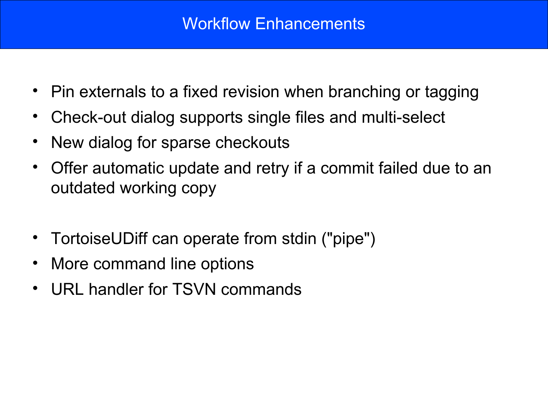- Pin externals to a fixed revision when branching or tagging
- Check-out dialog supports single files and multi-select
- New dialog for sparse checkouts
- Offer automatic update and retry if a commit failed due to an outdated working copy
- TortoiseUDiff can operate from stdin ("pipe")
- More command line options
- URL handler for TSVN commands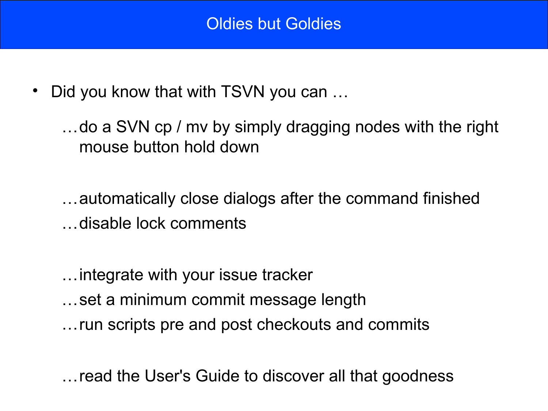• Did you know that with TSVN you can ...

…do a SVN cp / mv by simply dragging nodes with the right mouse button hold down

…automatically close dialogs after the command finished …disable lock comments

…integrate with your issue tracker …set a minimum commit message length …run scripts pre and post checkouts and commits

…read the User's Guide to discover all that goodness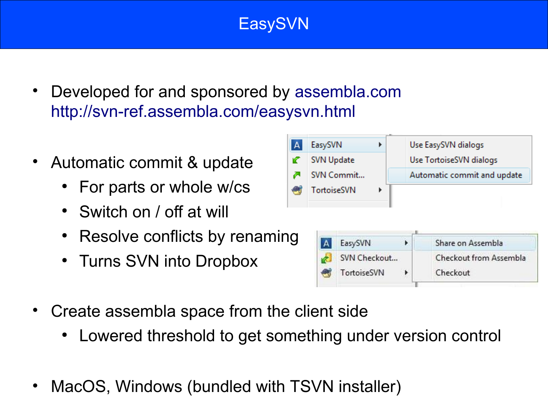## EasySVN

- Developed for and sponsored by [assembla.com](http://assembla.com/) <http://svn-ref.assembla.com/easysvn.html>
- Automatic commit & update
	- For parts or whole w/cs
	- Switch on / off at will
	- Resolve conflicts by renaming
	- Turns SVN into Dropbox
- Create assembla space from the client side
	- Lowered threshold to get something under version control
- MacOS, Windows (bundled with TSVN installer)

| $\mathbf{A}$ | EasySVN     |         |   | Use EasySVN dialogs         |  |  |
|--------------|-------------|---------|---|-----------------------------|--|--|
|              | SVN Update  |         |   | Use TortoiseSVN dialogs     |  |  |
| z.           | SVN Commit  |         |   | Automatic commit and update |  |  |
|              | TortoiseSVN | ▶       |   |                             |  |  |
|              |             |         |   |                             |  |  |
|              |             |         |   |                             |  |  |
|              |             |         |   |                             |  |  |
| g            | А           | EasySVN | r | Share on Assembla           |  |  |

Checkout

TortoiseSVN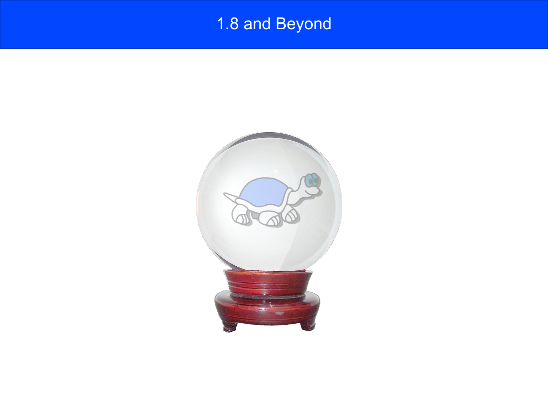# 1.8 and Beyond

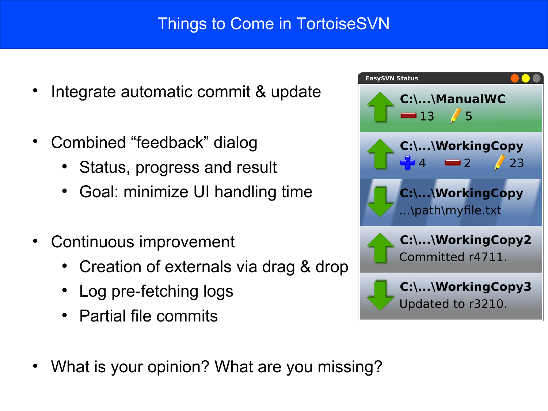### Things to Come in TortoiseSVN

- Integrate automatic commit & update
- Combined "feedback" dialog
	- Status, progress and result
	- Goal: minimize UI handling time
- Continuous improvement
	- Creation of externals via drag & drop
	- Log pre-fetching logs
	- Partial file commits



• What is your opinion? What are you missing?